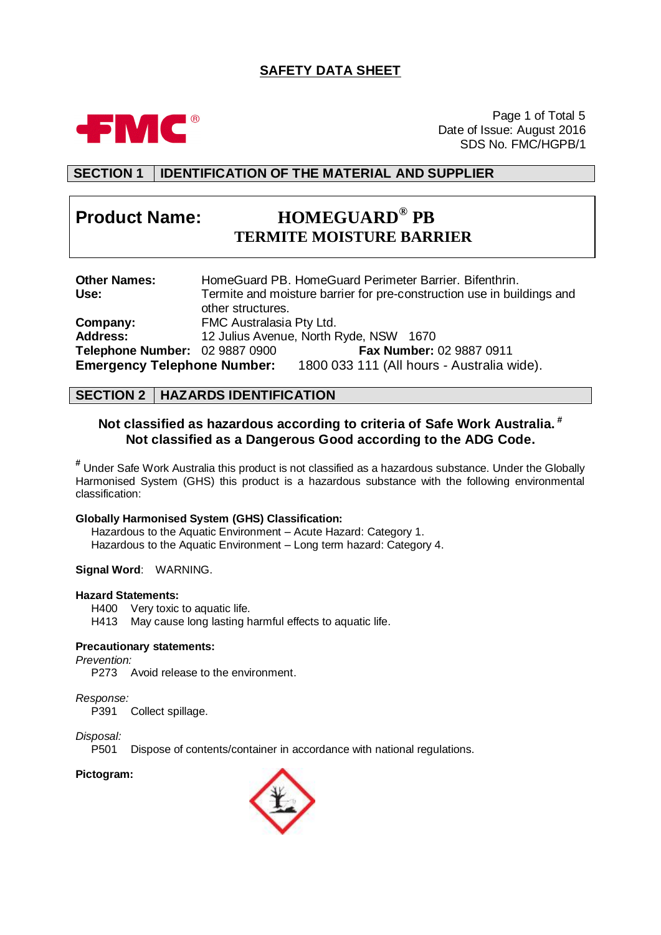# **SAFETY DATA SHEET**



Page 1 of Total 5 Date of Issue: August 2016 SDS No. FMC/HGPB/1

# **SECTION 1 IDENTIFICATION OF THE MATERIAL AND SUPPLIER**

# **Product Name: HOMEGUARD® PB TERMITE MOISTURE BARRIER**

| <b>Other Names:</b>                |                          | HomeGuard PB. HomeGuard Perimeter Barrier. Bifenthrin.                 |
|------------------------------------|--------------------------|------------------------------------------------------------------------|
| Use:                               |                          | Termite and moisture barrier for pre-construction use in buildings and |
|                                    | other structures.        |                                                                        |
| Company:                           | FMC Australasia Pty Ltd. |                                                                        |
| <b>Address:</b>                    |                          | 12 Julius Avenue, North Ryde, NSW 1670                                 |
| Telephone Number: 02 9887 0900     |                          | Fax Number: 02 9887 0911                                               |
| <b>Emergency Telephone Number:</b> |                          | 1800 033 111 (All hours - Australia wide).                             |

# **SECTION 2 HAZARDS IDENTIFICATION**

# **Not classified as hazardous according to criteria of Safe Work Australia. # Not classified as a Dangerous Good according to the ADG Code.**

**#** Under Safe Work Australia this product is not classified as a hazardous substance. Under the Globally Harmonised System (GHS) this product is a hazardous substance with the following environmental classification:

### **Globally Harmonised System (GHS) Classification:**

Hazardous to the Aquatic Environment – Acute Hazard: Category 1. Hazardous to the Aquatic Environment – Long term hazard: Category 4.

### **Signal Word**: WARNING.

### **Hazard Statements:**

H400 Very toxic to aquatic life.

H413 May cause long lasting harmful effects to aquatic life.

### **Precautionary statements:**

*Prevention:*

P273 Avoid release to the environment.

*Response:*

Collect spillage.

*Disposal:*

P501 Dispose of contents/container in accordance with national regulations.

### **Pictogram:**

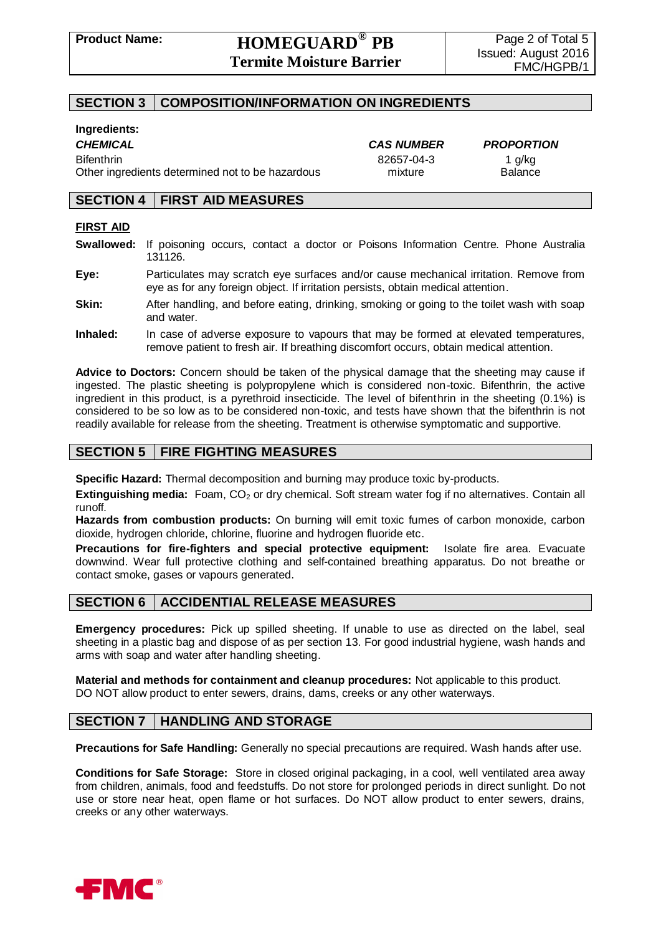# **SECTION 3 COMPOSITION/INFORMATION ON INGREDIENTS**

### **Ingredients:**

Bifenthrin 82657-04-3 1 g/kg Other ingredients determined not to be hazardous mixture Balance

*CHEMICAL CAS NUMBER PROPORTION*

# **SECTION 4 FIRST AID MEASURES**

### **FIRST AID**

- **Swallowed:** If poisoning occurs, contact a doctor or Poisons Information Centre. Phone Australia 131126.
- **Eye:** Particulates may scratch eye surfaces and/or cause mechanical irritation. Remove from eye as for any foreign object. If irritation persists, obtain medical attention.
- **Skin:** After handling, and before eating, drinking, smoking or going to the toilet wash with soap and water.
- **Inhaled:** In case of adverse exposure to vapours that may be formed at elevated temperatures, remove patient to fresh air. If breathing discomfort occurs, obtain medical attention.

**Advice to Doctors:** Concern should be taken of the physical damage that the sheeting may cause if ingested. The plastic sheeting is polypropylene which is considered non-toxic. Bifenthrin, the active ingredient in this product, is a pyrethroid insecticide. The level of bifenthrin in the sheeting (0.1%) is considered to be so low as to be considered non-toxic, and tests have shown that the bifenthrin is not readily available for release from the sheeting. Treatment is otherwise symptomatic and supportive.

# **SECTION 5 FIRE FIGHTING MEASURES**

**Specific Hazard:** Thermal decomposition and burning may produce toxic by-products.

**Extinguishing media:** Foam, CO<sub>2</sub> or dry chemical. Soft stream water fog if no alternatives. Contain all runoff.

**Hazards from combustion products:** On burning will emit toxic fumes of carbon monoxide, carbon dioxide, hydrogen chloride, chlorine, fluorine and hydrogen fluoride etc.

**Precautions for fire-fighters and special protective equipment:** Isolate fire area. Evacuate downwind. Wear full protective clothing and self-contained breathing apparatus. Do not breathe or contact smoke, gases or vapours generated.

# **SECTION 6 ACCIDENTIAL RELEASE MEASURES**

**Emergency procedures:** Pick up spilled sheeting. If unable to use as directed on the label, seal sheeting in a plastic bag and dispose of as per section 13. For good industrial hygiene, wash hands and arms with soap and water after handling sheeting.

**Material and methods for containment and cleanup procedures:** Not applicable to this product. DO NOT allow product to enter sewers, drains, dams, creeks or any other waterways.

# **SECTION 7 HANDLING AND STORAGE**

**Precautions for Safe Handling:** Generally no special precautions are required. Wash hands after use.

**Conditions for Safe Storage:** Store in closed original packaging, in a cool, well ventilated area away from children, animals, food and feedstuffs. Do not store for prolonged periods in direct sunlight. Do not use or store near heat, open flame or hot surfaces. Do NOT allow product to enter sewers, drains, creeks or any other waterways.

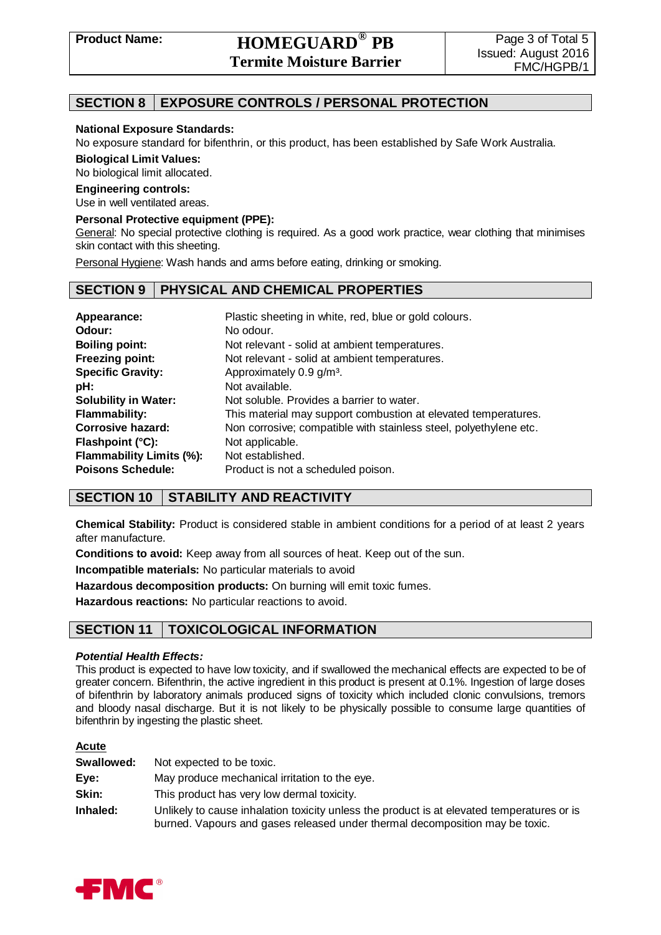# **Product Name: HOMEGUARD® PB Termite Moisture Barrier**

# **SECTION 8 EXPOSURE CONTROLS / PERSONAL PROTECTION**

### **National Exposure Standards:**

No exposure standard for bifenthrin, or this product, has been established by Safe Work Australia.

**Biological Limit Values:**

No biological limit allocated.

### **Engineering controls:**

Use in well ventilated areas.

### **Personal Protective equipment (PPE):**

General: No special protective clothing is required. As a good work practice, wear clothing that minimises skin contact with this sheeting.

Personal Hygiene: Wash hands and arms before eating, drinking or smoking.

# **SECTION 9 PHYSICAL AND CHEMICAL PROPERTIES**

| Appearance:<br>Odour:<br><b>Boiling point:</b><br><b>Freezing point:</b> | Plastic sheeting in white, red, blue or gold colours.<br>No odour.<br>Not relevant - solid at ambient temperatures.<br>Not relevant - solid at ambient temperatures. |
|--------------------------------------------------------------------------|----------------------------------------------------------------------------------------------------------------------------------------------------------------------|
| <b>Specific Gravity:</b>                                                 | Approximately 0.9 g/m <sup>3</sup> .                                                                                                                                 |
| pH:                                                                      | Not available.                                                                                                                                                       |
| <b>Solubility in Water:</b>                                              | Not soluble. Provides a barrier to water.                                                                                                                            |
| <b>Flammability:</b>                                                     | This material may support combustion at elevated temperatures.                                                                                                       |
| Corrosive hazard:                                                        | Non corrosive; compatible with stainless steel, polyethylene etc.                                                                                                    |
| Flashpoint (°C):                                                         | Not applicable.                                                                                                                                                      |
| <b>Flammability Limits (%):</b>                                          | Not established.                                                                                                                                                     |
| <b>Poisons Schedule:</b>                                                 | Product is not a scheduled poison.                                                                                                                                   |

# **SECTION 10 STABILITY AND REACTIVITY**

**Chemical Stability:** Product is considered stable in ambient conditions for a period of at least 2 years after manufacture.

**Conditions to avoid:** Keep away from all sources of heat. Keep out of the sun.

**Incompatible materials:** No particular materials to avoid

**Hazardous decomposition products:** On burning will emit toxic fumes.

**Hazardous reactions:** No particular reactions to avoid.

# **SECTION 11 TOXICOLOGICAL INFORMATION**

### *Potential Health Effects:*

This product is expected to have low toxicity, and if swallowed the mechanical effects are expected to be of greater concern. Bifenthrin, the active ingredient in this product is present at 0.1%. Ingestion of large doses of bifenthrin by laboratory animals produced signs of toxicity which included clonic convulsions, tremors and bloody nasal discharge. But it is not likely to be physically possible to consume large quantities of bifenthrin by ingesting the plastic sheet.

### **Acute**

| Swallowed: | Not expected to be toxic.                                                                                                                                                  |
|------------|----------------------------------------------------------------------------------------------------------------------------------------------------------------------------|
| Eye:       | May produce mechanical irritation to the eye.                                                                                                                              |
| Skin:      | This product has very low dermal toxicity.                                                                                                                                 |
| Inhaled:   | Unlikely to cause inhalation toxicity unless the product is at elevated temperatures or is<br>burned. Vapours and gases released under thermal decomposition may be toxic. |

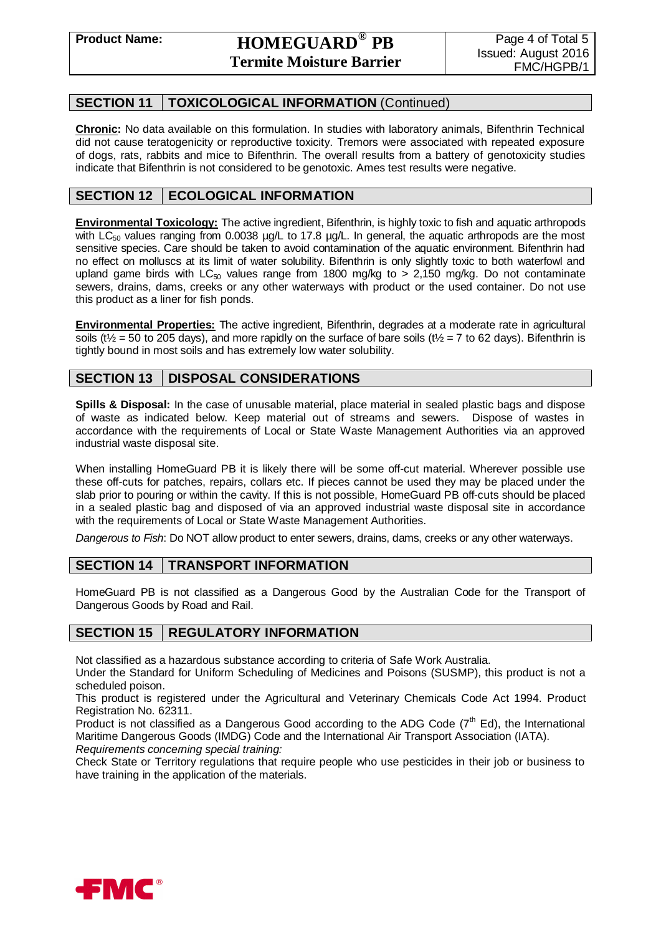# **SECTION 11 TOXICOLOGICAL INFORMATION** (Continued)

**Chronic:** No data available on this formulation. In studies with laboratory animals, Bifenthrin Technical did not cause teratogenicity or reproductive toxicity. Tremors were associated with repeated exposure of dogs, rats, rabbits and mice to Bifenthrin. The overall results from a battery of genotoxicity studies indicate that Bifenthrin is not considered to be genotoxic. Ames test results were negative.

# **SECTION 12 ECOLOGICAL INFORMATION**

**Environmental Toxicology:** The active ingredient, Bifenthrin, is highly toxic to fish and aquatic arthropods with  $LC_{50}$  values ranging from 0.0038 µg/L to 17.8 µg/L. In general, the aquatic arthropods are the most sensitive species. Care should be taken to avoid contamination of the aquatic environment. Bifenthrin had no effect on molluscs at its limit of water solubility. Bifenthrin is only slightly toxic to both waterfowl and upland game birds with LC<sub>50</sub> values range from 1800 mg/kg to  $> 2,150$  mg/kg. Do not contaminate sewers, drains, dams, creeks or any other waterways with product or the used container. Do not use this product as a liner for fish ponds.

**Environmental Properties:** The active ingredient, Bifenthrin, degrades at a moderate rate in agricultural soils ( $t\frac{1}{2}$  = 50 to 205 days), and more rapidly on the surface of bare soils ( $t\frac{1}{2}$  = 7 to 62 days). Bifenthrin is tightly bound in most soils and has extremely low water solubility.

# **SECTION 13 DISPOSAL CONSIDERATIONS**

**Spills & Disposal:** In the case of unusable material, place material in sealed plastic bags and dispose of waste as indicated below. Keep material out of streams and sewers. Dispose of wastes in accordance with the requirements of Local or State Waste Management Authorities via an approved industrial waste disposal site.

When installing HomeGuard PB it is likely there will be some off-cut material. Wherever possible use these off-cuts for patches, repairs, collars etc. If pieces cannot be used they may be placed under the slab prior to pouring or within the cavity. If this is not possible, HomeGuard PB off-cuts should be placed in a sealed plastic bag and disposed of via an approved industrial waste disposal site in accordance with the requirements of Local or State Waste Management Authorities.

*Dangerous to Fish*: Do NOT allow product to enter sewers, drains, dams, creeks or any other waterways.

# **SECTION 14 TRANSPORT INFORMATION**

HomeGuard PB is not classified as a Dangerous Good by the Australian Code for the Transport of Dangerous Goods by Road and Rail.

# **SECTION 15 REGULATORY INFORMATION**

Not classified as a hazardous substance according to criteria of Safe Work Australia.

Under the Standard for Uniform Scheduling of Medicines and Poisons (SUSMP), this product is not a scheduled poison.

This product is registered under the Agricultural and Veterinary Chemicals Code Act 1994. Product Registration No. 62311.

Product is not classified as a Dangerous Good according to the ADG Code  $(7<sup>th</sup>$  Ed), the International Maritime Dangerous Goods (IMDG) Code and the International Air Transport Association (IATA). *Requirements concerning special training:*

Check State or Territory regulations that require people who use pesticides in their job or business to have training in the application of the materials.